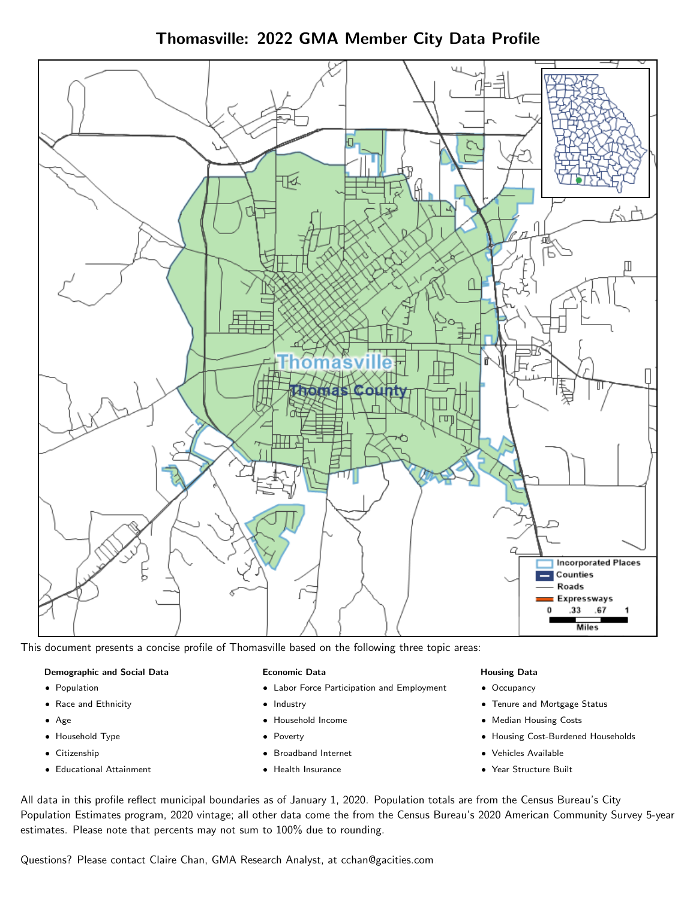Thomasville: 2022 GMA Member City Data Profile



This document presents a concise profile of Thomasville based on the following three topic areas:

## Demographic and Social Data

- **•** Population
- Race and Ethnicity
- Age
- Household Type
- **Citizenship**
- Educational Attainment

## Economic Data

- Labor Force Participation and Employment
- Industry
- Household Income
- Poverty
- Broadband Internet
- Health Insurance

## Housing Data

- Occupancy
- Tenure and Mortgage Status
- Median Housing Costs
- Housing Cost-Burdened Households
- Vehicles Available
- Year Structure Built

All data in this profile reflect municipal boundaries as of January 1, 2020. Population totals are from the Census Bureau's City Population Estimates program, 2020 vintage; all other data come the from the Census Bureau's 2020 American Community Survey 5-year estimates. Please note that percents may not sum to 100% due to rounding.

Questions? Please contact Claire Chan, GMA Research Analyst, at [cchan@gacities.com.](mailto:cchan@gacities.com)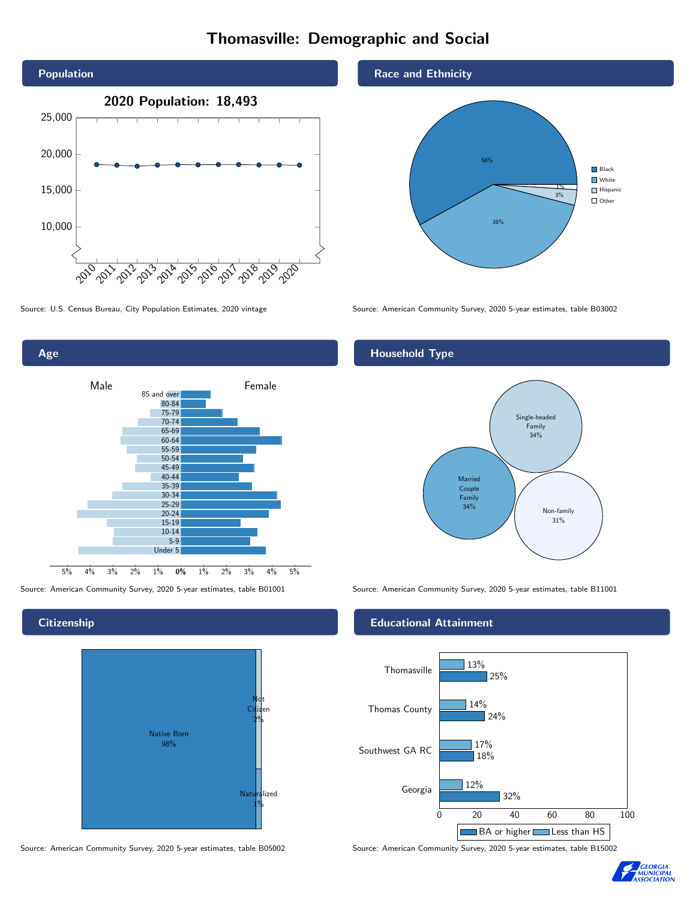# Thomasville: Demographic and Social





# **Citizenship**



Source: American Community Survey, 2020 5-year estimates, table B05002 Source: American Community Survey, 2020 5-year estimates, table B15002





Source: U.S. Census Bureau, City Population Estimates, 2020 vintage Source: American Community Survey, 2020 5-year estimates, table B03002

# Household Type



Source: American Community Survey, 2020 5-year estimates, table B01001 Source: American Community Survey, 2020 5-year estimates, table B11001

## Educational Attainment



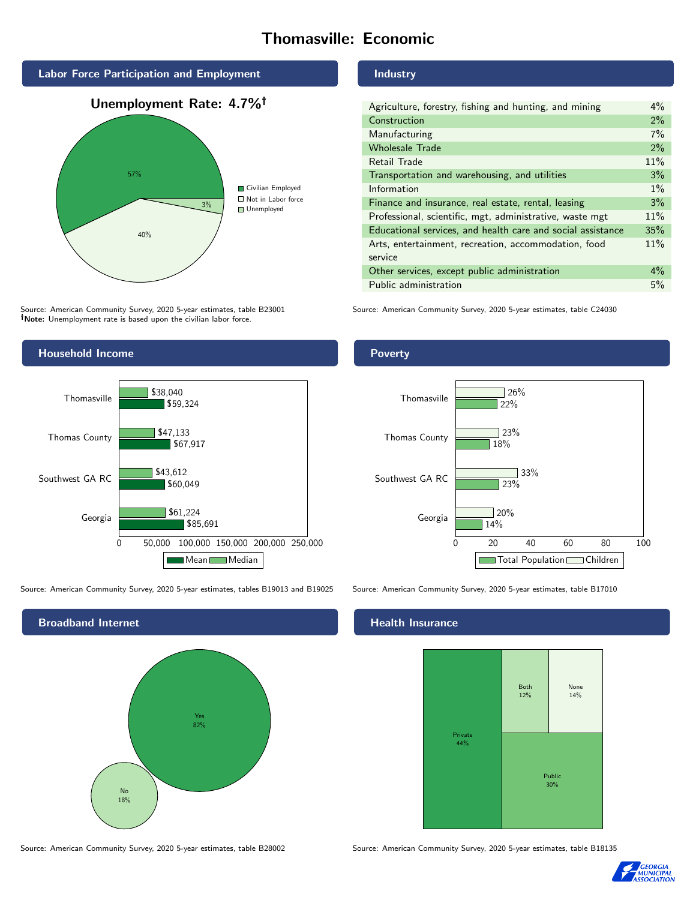# Thomasville: Economic







Source: American Community Survey, 2020 5-year estimates, table B23001 Note: Unemployment rate is based upon the civilian labor force.

# Industry

| Agriculture, forestry, fishing and hunting, and mining      | $4\%$ |
|-------------------------------------------------------------|-------|
| Construction                                                | 2%    |
| Manufacturing                                               | 7%    |
| <b>Wholesale Trade</b>                                      | 2%    |
| Retail Trade                                                | 11%   |
| Transportation and warehousing, and utilities               | 3%    |
| Information                                                 | $1\%$ |
| Finance and insurance, real estate, rental, leasing         | 3%    |
| Professional, scientific, mgt, administrative, waste mgt    | 11%   |
| Educational services, and health care and social assistance | 35%   |
| Arts, entertainment, recreation, accommodation, food        | 11%   |
| service                                                     |       |
| Other services, except public administration                | $4\%$ |
| Public administration                                       | 5%    |

Source: American Community Survey, 2020 5-year estimates, table C24030



Source: American Community Survey, 2020 5-year estimates, tables B19013 and B19025 Source: American Community Survey, 2020 5-year estimates, table B17010



Poverty



## Health Insurance



Source: American Community Survey, 2020 5-year estimates, table B28002 Source: American Community Survey, 2020 5-year estimates, table B18135